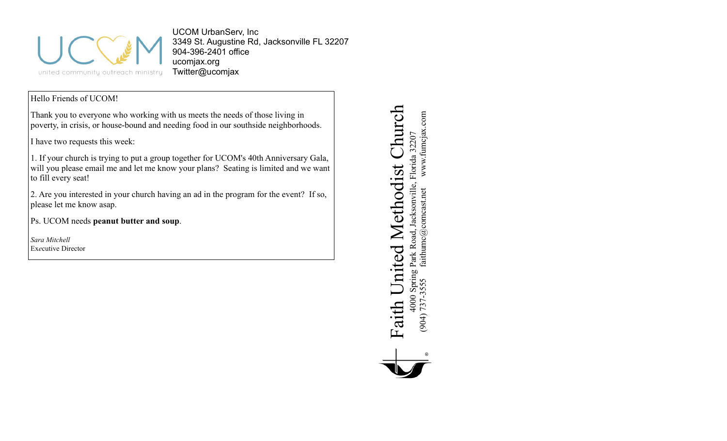

UCOM UrbanServ, Inc 3349 St. Augustine Rd, Jacksonville FL 32207 904-396-2401 office ucomjax.org Twitter@ucomjax

# Hello Friends of UCOM!

Thank you to everyone who working with us meets the needs of those living in poverty, in crisis, or house-bound and needing food in our southside neighborhoods.

I have two requests this week:

1. If your church is trying to put a group together for UCOM's 40th Anniversary Gala, will you please email me and let me know your plans? Seating is limited and we want to fill every seat!

2. Are you interested in your church having an ad in the program for the event? If so, please let me know asap.

Ps. UCOM needs **peanut butter and soup**.

*Sara Mitchell* Ex*e*cutive Director

Faith United Methodist Church Church www.fumcjax.com (904) 737-3555 faithumc@comcast.net www.fumcjax.com4000 Spring Park Road, Jacksonville, Florida 32207<br>(904) 737-3555 faithumc@comeast.net www.fumcjax 4000 Spring Park Road, Jacksonville, Florida 32207 Methodist ( Faith United